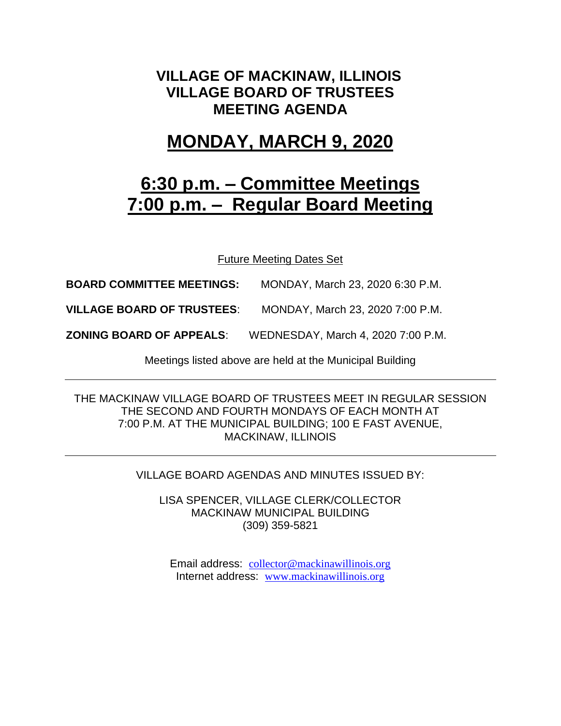### **VILLAGE OF MACKINAW, ILLINOIS VILLAGE BOARD OF TRUSTEES MEETING AGENDA**

## **MONDAY, MARCH 9, 2020**

# **6:30 p.m. – Committee Meetings 7:00 p.m. – Regular Board Meeting**

Future Meeting Dates Set

**BOARD COMMITTEE MEETINGS:** MONDAY, March 23, 2020 6:30 P.M.

**VILLAGE BOARD OF TRUSTEES**: MONDAY, March 23, 2020 7:00 P.M.

**ZONING BOARD OF APPEALS**: WEDNESDAY, March 4, 2020 7:00 P.M.

Meetings listed above are held at the Municipal Building

THE MACKINAW VILLAGE BOARD OF TRUSTEES MEET IN REGULAR SESSION THE SECOND AND FOURTH MONDAYS OF EACH MONTH AT 7:00 P.M. AT THE MUNICIPAL BUILDING; 100 E FAST AVENUE, MACKINAW, ILLINOIS

VILLAGE BOARD AGENDAS AND MINUTES ISSUED BY:

LISA SPENCER, VILLAGE CLERK/COLLECTOR MACKINAW MUNICIPAL BUILDING (309) 359-5821

Email address: [collector@mackinawillinois.org](mailto:collector@mackinawillinois.org) Internet address: [www.mackinawillinois.org](http://www.mackinawillinois.org/)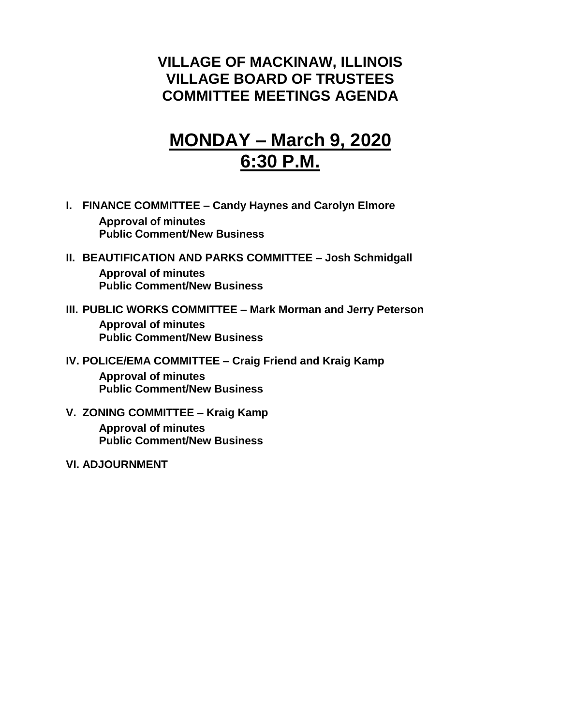## **VILLAGE OF MACKINAW, ILLINOIS VILLAGE BOARD OF TRUSTEES COMMITTEE MEETINGS AGENDA**

# **MONDAY – March 9, 2020 6:30 P.M.**

- **I. FINANCE COMMITTEE – Candy Haynes and Carolyn Elmore Approval of minutes Public Comment/New Business**
- **II. BEAUTIFICATION AND PARKS COMMITTEE – Josh Schmidgall Approval of minutes Public Comment/New Business**
- **III. PUBLIC WORKS COMMITTEE – Mark Morman and Jerry Peterson Approval of minutes Public Comment/New Business**
- **IV. POLICE/EMA COMMITTEE – Craig Friend and Kraig Kamp Approval of minutes Public Comment/New Business**
- **V. ZONING COMMITTEE – Kraig Kamp Approval of minutes Public Comment/New Business**
- **VI. ADJOURNMENT**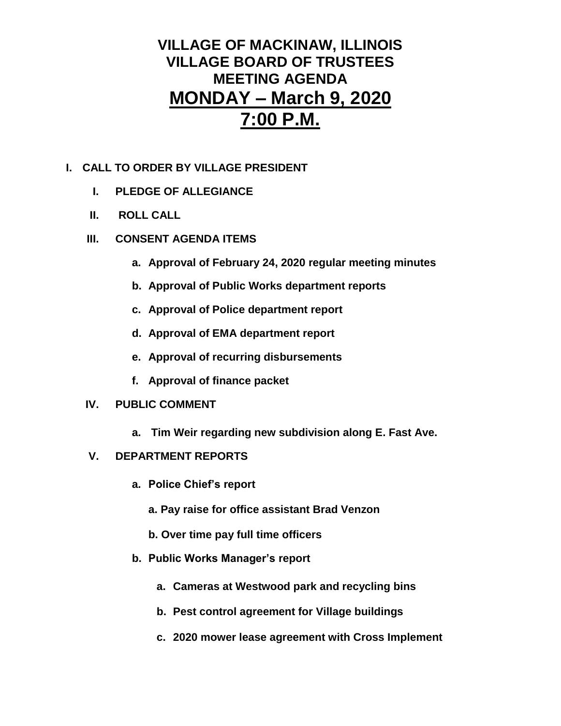## **VILLAGE OF MACKINAW, ILLINOIS VILLAGE BOARD OF TRUSTEES MEETING AGENDA MONDAY – March 9, 2020 7:00 P.M.**

### **I. CALL TO ORDER BY VILLAGE PRESIDENT**

- **I. PLEDGE OF ALLEGIANCE**
- **II. ROLL CALL**
- **III. CONSENT AGENDA ITEMS** 
	- **a. Approval of February 24, 2020 regular meeting minutes**
	- **b. Approval of Public Works department reports**
	- **c. Approval of Police department report**
	- **d. Approval of EMA department report**
	- **e. Approval of recurring disbursements**
	- **f. Approval of finance packet**

### **IV. PUBLIC COMMENT**

**a. Tim Weir regarding new subdivision along E. Fast Ave.**

### **V. DEPARTMENT REPORTS**

- **a. Police Chief's report**
	- **a. Pay raise for office assistant Brad Venzon**
	- **b. Over time pay full time officers**
- **b. Public Works Manager's report**
	- **a. Cameras at Westwood park and recycling bins**
	- **b. Pest control agreement for Village buildings**
	- **c. 2020 mower lease agreement with Cross Implement**